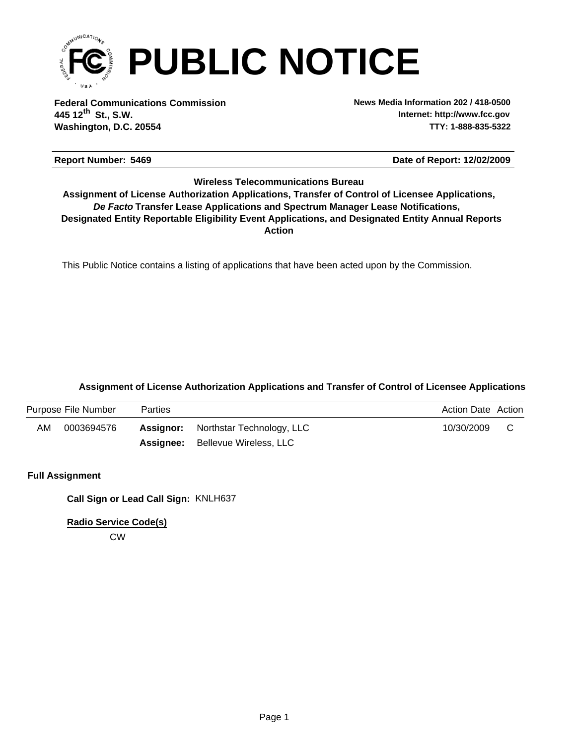

**Federal Communications Commission News Media Information 202 / 418-0500 Washington, D.C. 20554 TTY: 1-888-835-5322 445 12 St., S.W. th**

**Internet: http://www.fcc.gov**

# **Report Number: 5469 5469 5469 5469 5469 5469 5469 5469 5469 5469 5469 5469 5469 5469 5469 5469 5569 5569 5569 5569 5569 5569 5569 5569 5569 5569 5569 5569 5569 556**

## **Wireless Telecommunications Bureau**

**Action** *De Facto* **Transfer Lease Applications and Spectrum Manager Lease Notifications, Designated Entity Reportable Eligibility Event Applications, and Designated Entity Annual Reports Assignment of License Authorization Applications, Transfer of Control of Licensee Applications,**

This Public Notice contains a listing of applications that have been acted upon by the Commission.

## **Assignment of License Authorization Applications and Transfer of Control of Licensee Applications**

|    | Purpose File Number | <b>Parties</b> | <b>Action Date Action</b>                                |  |
|----|---------------------|----------------|----------------------------------------------------------|--|
| AM | 0003694576          |                | 10/30/2009<br><b>Assignor:</b> Northstar Technology, LLC |  |
|    |                     |                | <b>Assignee:</b> Bellevue Wireless, LLC                  |  |

## **Full Assignment**

**Call Sign or Lead Call Sign:** KNLH637

**Radio Service Code(s)**

CW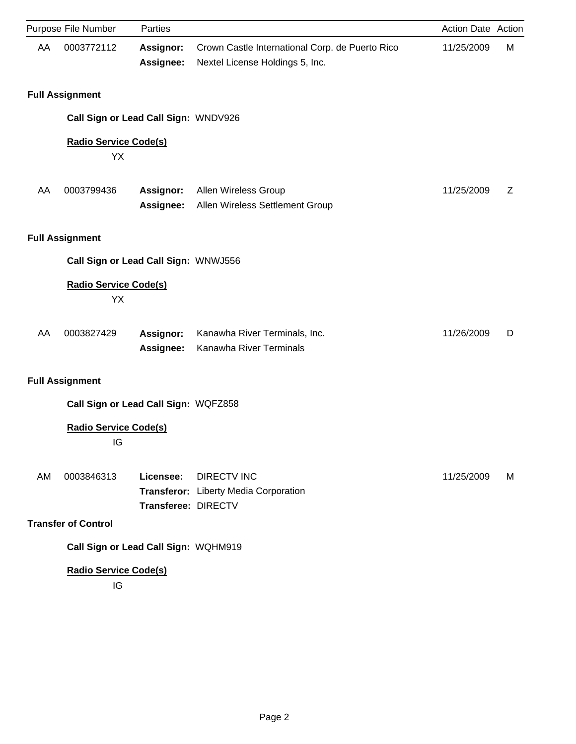|    | Purpose File Number                  | Parties                          |                                                                                    | Action Date Action |   |
|----|--------------------------------------|----------------------------------|------------------------------------------------------------------------------------|--------------------|---|
| AA | 0003772112                           | Assignor:<br>Assignee:           | Crown Castle International Corp. de Puerto Rico<br>Nextel License Holdings 5, Inc. | 11/25/2009         | M |
|    | <b>Full Assignment</b>               |                                  |                                                                                    |                    |   |
|    | Call Sign or Lead Call Sign: WNDV926 |                                  |                                                                                    |                    |   |
|    | <b>Radio Service Code(s)</b><br>YX   |                                  |                                                                                    |                    |   |
| AA | 0003799436                           | <b>Assignor:</b><br>Assignee:    | Allen Wireless Group<br>Allen Wireless Settlement Group                            | 11/25/2009         | Z |
|    | <b>Full Assignment</b>               |                                  |                                                                                    |                    |   |
|    | Call Sign or Lead Call Sign: WNWJ556 |                                  |                                                                                    |                    |   |
|    | <b>Radio Service Code(s)</b><br>YX   |                                  |                                                                                    |                    |   |
| AA | 0003827429                           | Assignor:<br><b>Assignee:</b>    | Kanawha River Terminals, Inc.<br>Kanawha River Terminals                           | 11/26/2009         | D |
|    | <b>Full Assignment</b>               |                                  |                                                                                    |                    |   |
|    | Call Sign or Lead Call Sign: WQFZ858 |                                  |                                                                                    |                    |   |
|    | <b>Radio Service Code(s)</b><br>خاا  |                                  |                                                                                    |                    |   |
| AM | 0003846313                           | Licensee:<br>Transferee: DIRECTV | <b>DIRECTV INC</b><br>Transferor: Liberty Media Corporation                        | 11/25/2009         | M |
|    | <b>Transfer of Control</b>           |                                  |                                                                                    |                    |   |
|    | Call Sign or Lead Call Sign: WQHM919 |                                  |                                                                                    |                    |   |
|    | <b>Radio Service Code(s)</b><br>IG   |                                  |                                                                                    |                    |   |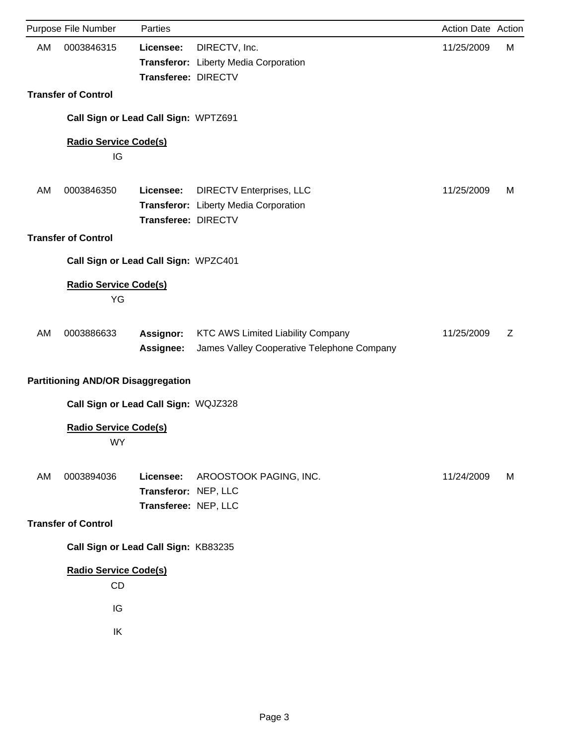|    | Purpose File Number                       | Parties                                                   |                                                                                        | Action Date Action |   |
|----|-------------------------------------------|-----------------------------------------------------------|----------------------------------------------------------------------------------------|--------------------|---|
| AM | 0003846315                                | Licensee:<br>Transferee: DIRECTV                          | DIRECTV, Inc.<br>Transferor: Liberty Media Corporation                                 | 11/25/2009         | M |
|    | <b>Transfer of Control</b>                |                                                           |                                                                                        |                    |   |
|    | Call Sign or Lead Call Sign: WPTZ691      |                                                           |                                                                                        |                    |   |
|    | <b>Radio Service Code(s)</b><br>IG        |                                                           |                                                                                        |                    |   |
| AM | 0003846350                                | Licensee:<br>Transferee: DIRECTV                          | <b>DIRECTV Enterprises, LLC</b><br>Transferor: Liberty Media Corporation               | 11/25/2009         | M |
|    | <b>Transfer of Control</b>                |                                                           |                                                                                        |                    |   |
|    | Call Sign or Lead Call Sign: WPZC401      |                                                           |                                                                                        |                    |   |
|    | <b>Radio Service Code(s)</b><br>YG        |                                                           |                                                                                        |                    |   |
| AM | 0003886633                                | Assignor:<br>Assignee:                                    | <b>KTC AWS Limited Liability Company</b><br>James Valley Cooperative Telephone Company | 11/25/2009         | Z |
|    | <b>Partitioning AND/OR Disaggregation</b> |                                                           |                                                                                        |                    |   |
|    | Call Sign or Lead Call Sign: WQJZ328      |                                                           |                                                                                        |                    |   |
|    | <b>Radio Service Code(s)</b><br>WY        |                                                           |                                                                                        |                    |   |
| AM | 0003894036                                | Licensee:<br>Transferor: NEP, LLC<br>Transferee: NEP, LLC | AROOSTOOK PAGING, INC.                                                                 | 11/24/2009         | M |
|    | <b>Transfer of Control</b>                |                                                           |                                                                                        |                    |   |
|    | Call Sign or Lead Call Sign: KB83235      |                                                           |                                                                                        |                    |   |
|    | <b>Radio Service Code(s)</b><br>CD<br>IG  |                                                           |                                                                                        |                    |   |
|    | IK                                        |                                                           |                                                                                        |                    |   |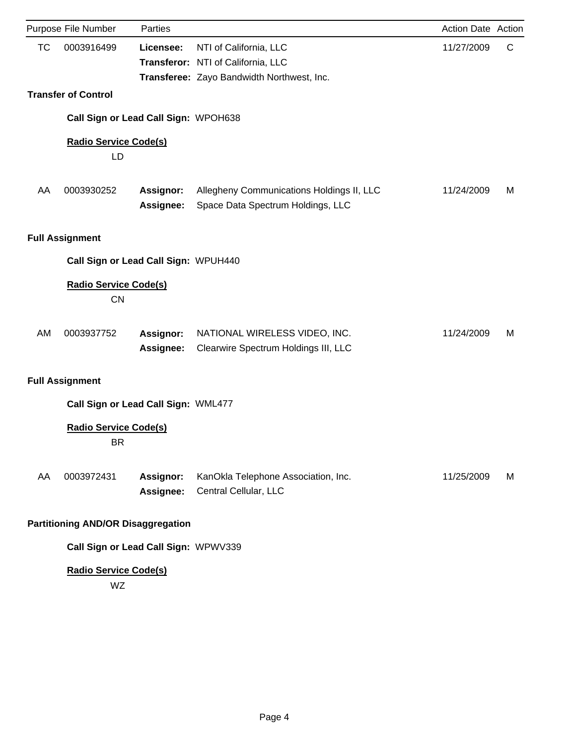|           | Purpose File Number                       | Parties                              |                                                                                                            | Action Date Action |   |
|-----------|-------------------------------------------|--------------------------------------|------------------------------------------------------------------------------------------------------------|--------------------|---|
| <b>TC</b> | 0003916499                                | Licensee:                            | NTI of California, LLC<br>Transferor: NTI of California, LLC<br>Transferee: Zayo Bandwidth Northwest, Inc. | 11/27/2009         | C |
|           | <b>Transfer of Control</b>                |                                      |                                                                                                            |                    |   |
|           |                                           | Call Sign or Lead Call Sign: WPOH638 |                                                                                                            |                    |   |
|           | <b>Radio Service Code(s)</b><br>LD        |                                      |                                                                                                            |                    |   |
| AA        | 0003930252                                | <b>Assignor:</b><br><b>Assignee:</b> | Allegheny Communications Holdings II, LLC<br>Space Data Spectrum Holdings, LLC                             | 11/24/2009         | м |
|           | <b>Full Assignment</b>                    |                                      |                                                                                                            |                    |   |
|           |                                           | Call Sign or Lead Call Sign: WPUH440 |                                                                                                            |                    |   |
|           | <b>Radio Service Code(s)</b><br><b>CN</b> |                                      |                                                                                                            |                    |   |
| <b>AM</b> | 0003937752                                | <b>Assignor:</b><br>Assignee:        | NATIONAL WIRELESS VIDEO, INC.<br>Clearwire Spectrum Holdings III, LLC                                      | 11/24/2009         | м |
|           | <b>Full Assignment</b>                    |                                      |                                                                                                            |                    |   |
|           |                                           | Call Sign or Lead Call Sign: WML477  |                                                                                                            |                    |   |
|           | <b>Radio Service Code(s)</b><br><b>BR</b> |                                      |                                                                                                            |                    |   |
| AA        | 0003972431                                | <b>Assignor:</b><br>Assignee:        | KanOkla Telephone Association, Inc.<br>Central Cellular, LLC                                               | 11/25/2009         | M |
|           | <b>Partitioning AND/OR Disaggregation</b> |                                      |                                                                                                            |                    |   |
|           |                                           | Call Sign or Lead Call Sign: WPWV339 |                                                                                                            |                    |   |

# **Radio Service Code(s)**

WZ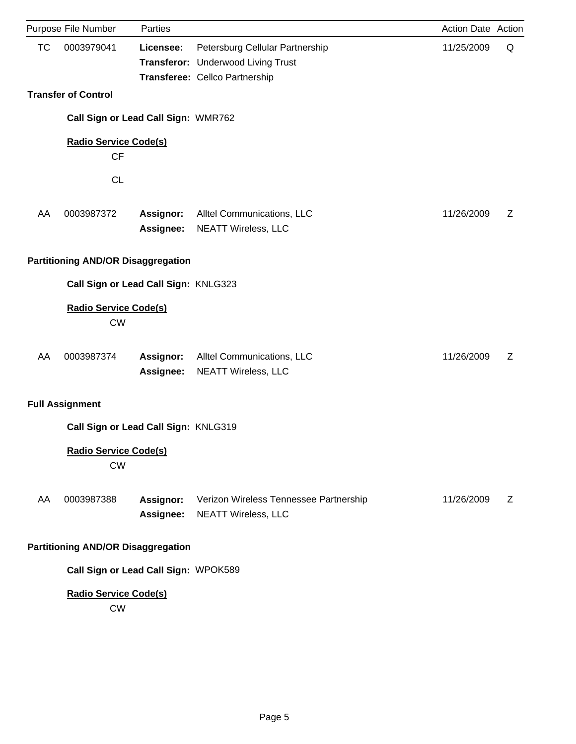|           | Purpose File Number                       | Parties                              |                                                                                                         | Action Date Action |   |
|-----------|-------------------------------------------|--------------------------------------|---------------------------------------------------------------------------------------------------------|--------------------|---|
| <b>TC</b> | 0003979041                                | Licensee:                            | Petersburg Cellular Partnership<br>Transferor: Underwood Living Trust<br>Transferee: Cellco Partnership | 11/25/2009         | Q |
|           | <b>Transfer of Control</b>                |                                      |                                                                                                         |                    |   |
|           |                                           | Call Sign or Lead Call Sign: WMR762  |                                                                                                         |                    |   |
|           | <b>Radio Service Code(s)</b><br><b>CF</b> |                                      |                                                                                                         |                    |   |
|           | <b>CL</b>                                 |                                      |                                                                                                         |                    |   |
| AA        | 0003987372                                | <b>Assignor:</b><br>Assignee:        | Alltel Communications, LLC<br><b>NEATT Wireless, LLC</b>                                                | 11/26/2009         | Z |
|           | <b>Partitioning AND/OR Disaggregation</b> |                                      |                                                                                                         |                    |   |
|           |                                           | Call Sign or Lead Call Sign: KNLG323 |                                                                                                         |                    |   |
|           | <b>Radio Service Code(s)</b><br><b>CW</b> |                                      |                                                                                                         |                    |   |
| AA        | 0003987374                                | Assignor:<br>Assignee:               | Alltel Communications, LLC<br><b>NEATT Wireless, LLC</b>                                                | 11/26/2009         | Ζ |
|           | <b>Full Assignment</b>                    |                                      |                                                                                                         |                    |   |
|           |                                           | Call Sign or Lead Call Sign: KNLG319 |                                                                                                         |                    |   |
|           | <b>Radio Service Code(s)</b><br><b>CW</b> |                                      |                                                                                                         |                    |   |
| AA        | 0003987388                                | <b>Assignor:</b><br>Assignee:        | Verizon Wireless Tennessee Partnership<br><b>NEATT Wireless, LLC</b>                                    | 11/26/2009         | Z |
|           | <b>Partitioning AND/OR Disaggregation</b> |                                      |                                                                                                         |                    |   |
|           |                                           | Call Sign or Lead Call Sign: WPOK589 |                                                                                                         |                    |   |
|           | <b>Radio Service Code(s)</b><br><b>CW</b> |                                      |                                                                                                         |                    |   |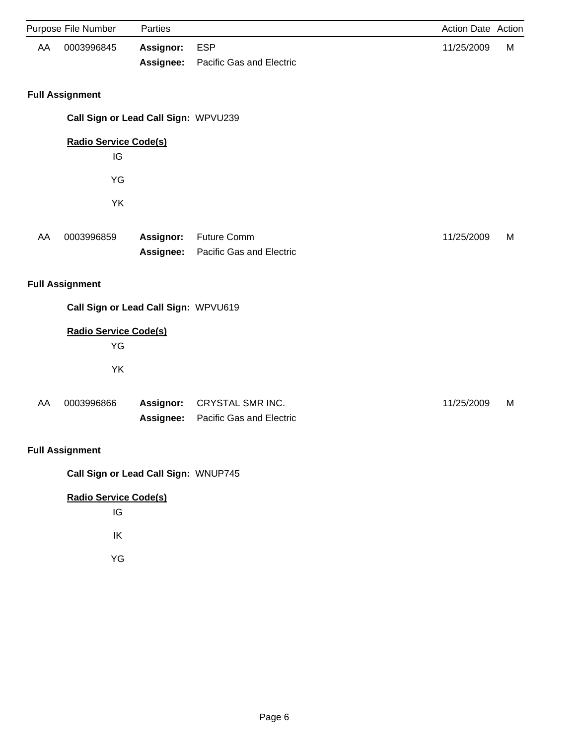|    | Purpose File Number                  | Parties                |                                                     | Action Date Action |   |
|----|--------------------------------------|------------------------|-----------------------------------------------------|--------------------|---|
| AA | 0003996845                           | Assignor:<br>Assignee: | <b>ESP</b><br>Pacific Gas and Electric              | 11/25/2009         | M |
|    | <b>Full Assignment</b>               |                        |                                                     |                    |   |
|    | Call Sign or Lead Call Sign: WPVU239 |                        |                                                     |                    |   |
|    | <b>Radio Service Code(s)</b><br>IG   |                        |                                                     |                    |   |
|    | YG                                   |                        |                                                     |                    |   |
|    | YK                                   |                        |                                                     |                    |   |
| AA | 0003996859                           | Assignor:<br>Assignee: | <b>Future Comm</b><br>Pacific Gas and Electric      | 11/25/2009         | M |
|    | <b>Full Assignment</b>               |                        |                                                     |                    |   |
|    | Call Sign or Lead Call Sign: WPVU619 |                        |                                                     |                    |   |
|    | <b>Radio Service Code(s)</b><br>YG   |                        |                                                     |                    |   |
|    | YK                                   |                        |                                                     |                    |   |
| AA | 0003996866                           | Assignor:<br>Assignee: | <b>CRYSTAL SMR INC.</b><br>Pacific Gas and Electric | 11/25/2009         | M |
|    | <b>Full Assignment</b>               |                        |                                                     |                    |   |
|    | Call Sign or Lead Call Sign: WNUP745 |                        |                                                     |                    |   |
|    | <b>Radio Service Code(s)</b><br>IG   |                        |                                                     |                    |   |
|    | IK                                   |                        |                                                     |                    |   |
|    | YG                                   |                        |                                                     |                    |   |
|    |                                      |                        |                                                     |                    |   |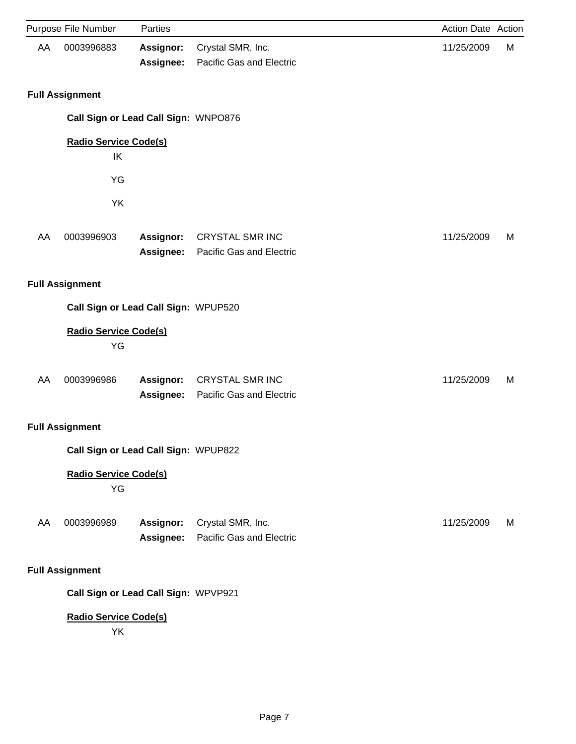|    | Purpose File Number                  | Parties                |                                                    | Action Date Action |   |
|----|--------------------------------------|------------------------|----------------------------------------------------|--------------------|---|
| AA | 0003996883                           | Assignor:<br>Assignee: | Crystal SMR, Inc.<br>Pacific Gas and Electric      | 11/25/2009         | M |
|    | <b>Full Assignment</b>               |                        |                                                    |                    |   |
|    | Call Sign or Lead Call Sign: WNPO876 |                        |                                                    |                    |   |
|    | <b>Radio Service Code(s)</b><br>IK   |                        |                                                    |                    |   |
|    | YG                                   |                        |                                                    |                    |   |
|    | YK                                   |                        |                                                    |                    |   |
| AA | 0003996903                           | Assignor:<br>Assignee: | <b>CRYSTAL SMR INC</b><br>Pacific Gas and Electric | 11/25/2009         | М |
|    | <b>Full Assignment</b>               |                        |                                                    |                    |   |
|    | Call Sign or Lead Call Sign: WPUP520 |                        |                                                    |                    |   |
|    | <b>Radio Service Code(s)</b><br>YG   |                        |                                                    |                    |   |
| AA | 0003996986                           | Assignor:<br>Assignee: | <b>CRYSTAL SMR INC</b><br>Pacific Gas and Electric | 11/25/2009         | M |
|    | <b>Full Assignment</b>               |                        |                                                    |                    |   |
|    | Call Sign or Lead Call Sign: WPUP822 |                        |                                                    |                    |   |
|    | <b>Radio Service Code(s)</b><br>YG   |                        |                                                    |                    |   |
| AA | 0003996989                           | Assignor:<br>Assignee: | Crystal SMR, Inc.<br>Pacific Gas and Electric      | 11/25/2009         | M |
|    | <b>Full Assignment</b>               |                        |                                                    |                    |   |
|    | Call Sign or Lead Call Sign: WPVP921 |                        |                                                    |                    |   |
|    | <b>Radio Service Code(s)</b><br>YK   |                        |                                                    |                    |   |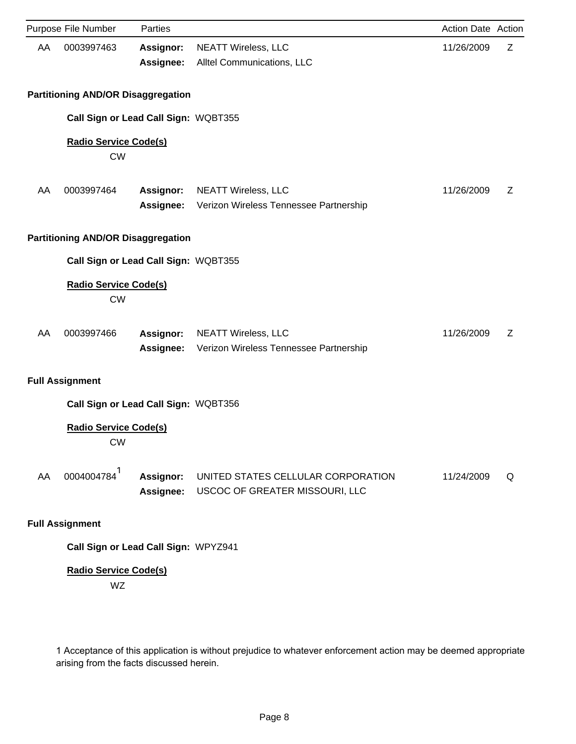| Purpose File Number<br>Parties<br>Action Date Action<br>0003997463<br><b>NEATT Wireless, LLC</b><br>11/26/2009<br>AA<br>Assignor:<br>Alltel Communications, LLC<br>Assignee: | Ζ |
|------------------------------------------------------------------------------------------------------------------------------------------------------------------------------|---|
|                                                                                                                                                                              |   |
|                                                                                                                                                                              |   |
|                                                                                                                                                                              |   |
| <b>Partitioning AND/OR Disaggregation</b>                                                                                                                                    |   |
| Call Sign or Lead Call Sign: WQBT355                                                                                                                                         |   |
| <b>Radio Service Code(s)</b><br><b>CW</b>                                                                                                                                    |   |
| 0003997464<br><b>NEATT Wireless, LLC</b><br>AA<br><b>Assignor:</b><br>11/26/2009                                                                                             | Ζ |
| Assignee:<br>Verizon Wireless Tennessee Partnership                                                                                                                          |   |
| <b>Partitioning AND/OR Disaggregation</b>                                                                                                                                    |   |
| Call Sign or Lead Call Sign: WQBT355                                                                                                                                         |   |
| <b>Radio Service Code(s)</b><br><b>CW</b>                                                                                                                                    |   |
| 0003997466<br><b>Assignor:</b><br><b>NEATT Wireless, LLC</b><br>11/26/2009<br>AA                                                                                             | Z |
| Verizon Wireless Tennessee Partnership<br><b>Assignee:</b>                                                                                                                   |   |
| <b>Full Assignment</b>                                                                                                                                                       |   |
| Call Sign or Lead Call Sign: WQBT356                                                                                                                                         |   |
| <b>Radio Service Code(s)</b><br><b>CW</b>                                                                                                                                    |   |
| 0004004784 <sup>1</sup><br>Assignor:<br>AA<br>UNITED STATES CELLULAR CORPORATION<br>11/24/2009                                                                               | Q |
| Assignee:<br>USCOC OF GREATER MISSOURI, LLC                                                                                                                                  |   |
| <b>Full Assignment</b>                                                                                                                                                       |   |

**Call Sign or Lead Call Sign:** WPYZ941

# **Radio Service Code(s)**

WZ

1 Acceptance of this application is without prejudice to whatever enforcement action may be deemed appropriate arising from the facts discussed herein.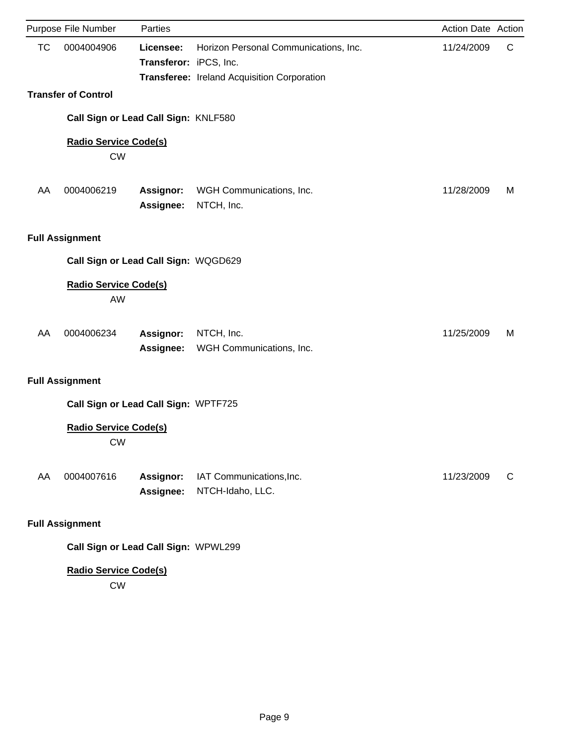| Purpose File Number                       | Parties                             |                                                                                      | Action Date Action |   |
|-------------------------------------------|-------------------------------------|--------------------------------------------------------------------------------------|--------------------|---|
| <b>TC</b><br>0004004906                   | Licensee:<br>Transferor: iPCS, Inc. | Horizon Personal Communications, Inc.<br>Transferee: Ireland Acquisition Corporation | 11/24/2009         | C |
| <b>Transfer of Control</b>                |                                     |                                                                                      |                    |   |
| Call Sign or Lead Call Sign: KNLF580      |                                     |                                                                                      |                    |   |
| <b>Radio Service Code(s)</b><br><b>CW</b> |                                     |                                                                                      |                    |   |
| 0004006219<br>AA                          | <b>Assignor:</b><br>Assignee:       | WGH Communications, Inc.<br>NTCH, Inc.                                               | 11/28/2009         | м |
| <b>Full Assignment</b>                    |                                     |                                                                                      |                    |   |
| Call Sign or Lead Call Sign: WQGD629      |                                     |                                                                                      |                    |   |
| <b>Radio Service Code(s)</b><br>AW        |                                     |                                                                                      |                    |   |
| 0004006234<br>AA                          | Assignor:<br>Assignee:              | NTCH, Inc.<br>WGH Communications, Inc.                                               | 11/25/2009         | M |
| <b>Full Assignment</b>                    |                                     |                                                                                      |                    |   |
| Call Sign or Lead Call Sign: WPTF725      |                                     |                                                                                      |                    |   |
| <b>Radio Service Code(s)</b><br><b>CW</b> |                                     |                                                                                      |                    |   |
| AA<br>0004007616                          | <b>Assignor:</b><br>Assignee:       | IAT Communications, Inc.<br>NTCH-Idaho, LLC.                                         | 11/23/2009         | C |
| <b>Full Assignment</b>                    |                                     |                                                                                      |                    |   |

**Call Sign or Lead Call Sign:** WPWL299

# **Radio Service Code(s)**

CW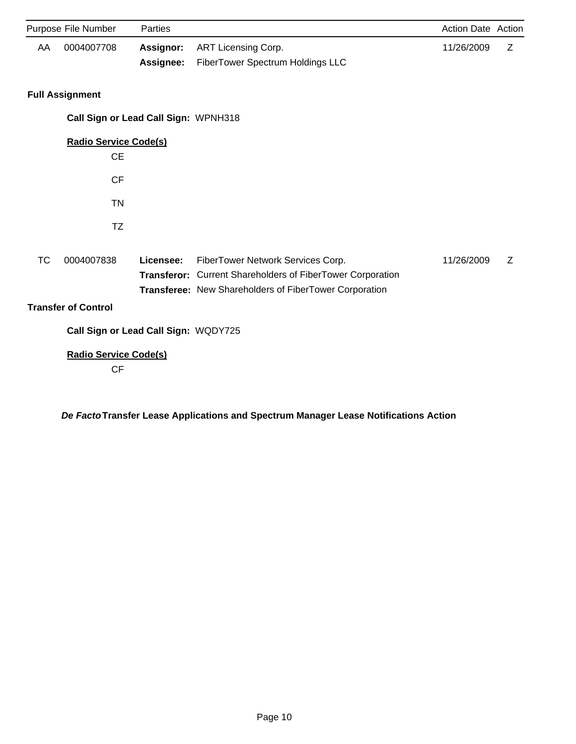|           | Purpose File Number                       | Parties                |                                                                                                                                                           | <b>Action Date Action</b> |   |
|-----------|-------------------------------------------|------------------------|-----------------------------------------------------------------------------------------------------------------------------------------------------------|---------------------------|---|
| AA        | 0004007708                                | Assignor:<br>Assignee: | ART Licensing Corp.<br>FiberTower Spectrum Holdings LLC                                                                                                   | 11/26/2009                | Ζ |
|           | <b>Full Assignment</b>                    |                        |                                                                                                                                                           |                           |   |
|           | Call Sign or Lead Call Sign: WPNH318      |                        |                                                                                                                                                           |                           |   |
|           | <b>Radio Service Code(s)</b><br><b>CE</b> |                        |                                                                                                                                                           |                           |   |
|           | <b>CF</b>                                 |                        |                                                                                                                                                           |                           |   |
|           | <b>TN</b>                                 |                        |                                                                                                                                                           |                           |   |
|           | TZ                                        |                        |                                                                                                                                                           |                           |   |
| <b>TC</b> | 0004007838                                | Licensee:              | FiberTower Network Services Corp.<br>Transferor: Current Shareholders of FiberTower Corporation<br>Transferee: New Shareholders of FiberTower Corporation | 11/26/2009                | Z |
|           | <b>Transfer of Control</b>                |                        |                                                                                                                                                           |                           |   |
|           | Call Sign or Lead Call Sign: WQDY725      |                        |                                                                                                                                                           |                           |   |
|           | <b>Radio Service Code(s)</b><br><b>CF</b> |                        |                                                                                                                                                           |                           |   |

*De Facto***Transfer Lease Applications and Spectrum Manager Lease Notifications Action**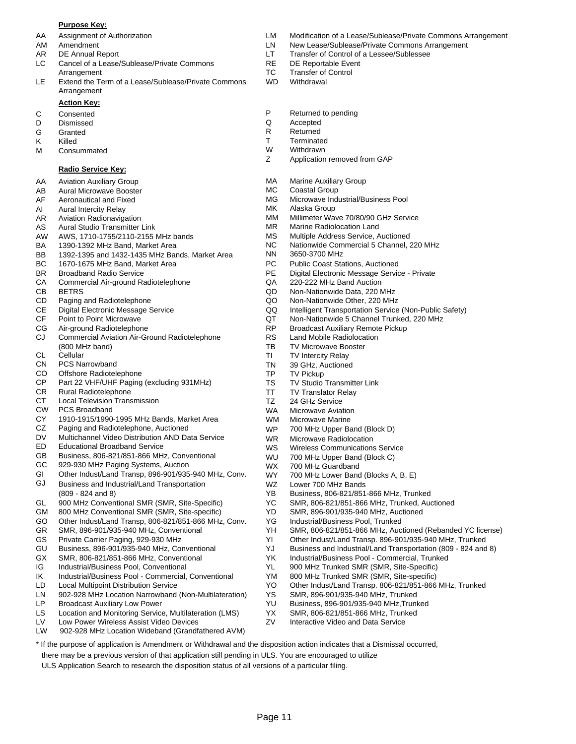#### **Purpose Key:**

- 
- 
- 
- LC Cancel of a Lease/Sublease/Private Commons RE DE Reportable Event Arrangement TC Transfer of Control
- LE Extend the Term of a Lease/Sublease/Private Commons WD Withdrawal Arrangement

#### **Action Key:**

- 
- 
- 
- 
- M Consummated M W Withdrawn<br>
Z Application

### **Radio Service Key:**

- AA Aviation Auxiliary Group
- AB Aural Microwave Booster
- AF Aeronautical and Fixed
- AI Aural Intercity Relay
- AR Aviation Radionavigation
- AS Aural Studio Transmitter Link
- AW AWS, 1710-1755/2110-2155 MHz bands
- BA 1390-1392 MHz Band, Market Area
- BB 1392-1395 and 1432-1435 MHz Bands, Market Area
- BC 1670-1675 MHz Band, Market Area
- BR Broadband Radio Service
- CA Commercial Air-ground Radiotelephone
- CB BETRS
- CD Paging and Radiotelephone
- CE Digital Electronic Message Service
- CF Point to Point Microwave
- CG Air-ground Radiotelephone
- CJ Commercial Aviation Air-Ground Radiotelephone (800 MHz band)
- CL **Cellular**
- CN PCS Narrowband
- CO Offshore Radiotelephone
- CP Part 22 VHF/UHF Paging (excluding 931MHz)
- CR Rural Radiotelephone
- CT Local Television Transmission
- CW PCS Broadband
- CY 1910-1915/1990-1995 MHz Bands, Market Area
- CZ Paging and Radiotelephone, Auctioned
- DV Multichannel Video Distribution AND Data Service
- ED Educational Broadband Service
- GB Business, 806-821/851-866 MHz, Conventional
- GC 929-930 MHz Paging Systems, Auction
- GI Other Indust/Land Transp, 896-901/935-940 MHz, Conv.
- GJ Business and Industrial/Land Transportation (809 - 824 and 8)
- GL 900 MHz Conventional SMR (SMR, Site-Specific)
- GM 800 MHz Conventional SMR (SMR, Site-specific)
- GO Other Indust/Land Transp, 806-821/851-866 MHz, Conv.
- GR SMR, 896-901/935-940 MHz, Conventional
- GS Private Carrier Paging, 929-930 MHz
- GU Business, 896-901/935-940 MHz, Conventional
- GX SMR, 806-821/851-866 MHz, Conventional
- IG Industrial/Business Pool, Conventional
- IK Industrial/Business Pool Commercial, Conventional
- LD Local Multipoint Distribution Service
- LN 902-928 MHz Location Narrowband (Non-Multilateration)
- LP Broadcast Auxiliary Low Power
- Location and Monitoring Service, Multilateration (LMS) LS
- Low Power Wireless Assist Video Devices LV
- LW 902-928 MHz Location Wideband (Grandfathered AVM)
- AA Assignment of Authorization LM Modification of a Lease/Sublease/Private Commons Arrangement
- AM Amendment **Amendment** 2002 CLN New Lease/Sublease/Private Commons Arrangement
- AR DE Annual Report **LT** Transfer of Control of a Lessee/Sublessee
	-
	-
	-
- C Consented **C** Consented **P** Returned to pending **D** Dismissed **P** Returned to pending
- D Dismissed Q Accepted
- G Granted **R** Returned
- K Killed T Terminated
	-
	- Application removed from GAP
	- MA Marine Auxiliary Group
	- MC Coastal Group
	- MG Microwave Industrial/Business Pool
	- MK Alaska Group
	- MM Millimeter Wave 70/80/90 GHz Service
	- MR Marine Radiolocation Land
	- MS Multiple Address Service, Auctioned
	- NC Nationwide Commercial 5 Channel, 220 MHz
		- NN 3650-3700 MHz
		- PC Public Coast Stations, Auctioned
		- PE Digital Electronic Message Service Private
		- QA 220-222 MHz Band Auction
		- QD Non-Nationwide Data, 220 MHz
		- QO Non-Nationwide Other, 220 MHz
		- QQ Intelligent Transportation Service (Non-Public Safety)
		- QT Non-Nationwide 5 Channel Trunked, 220 MHz
		- RP Broadcast Auxiliary Remote Pickup
		- RS Land Mobile Radiolocation
		- TB TV Microwave Booster
		- TI TV Intercity Relay
		- TN 39 GHz, Auctioned
		- TP TV Pickup

WS WU

YD

Page 11

\* If the purpose of application is Amendment or Withdrawal and the disposition action indicates that a Dismissal occurred,

there may be a previous version of that application still pending in ULS. You are encouraged to utilize ULS Application Search to research the disposition status of all versions of a particular filing.

WZ WX WY

TS TV Studio Transmitter Link

WR Microwave Radiolocation

Lower 700 MHz Bands

700 MHz Guardband

YG Industrial/Business Pool, Trunked

YS SMR, 896-901/935-940 MHz, Trunked YU Business, 896-901/935-940 MHz,Trunked YX SMR, 806-821/851-866 MHz, Trunked ZV Interactive Video and Data Service

Wireless Communications Service 700 MHz Upper Band (Block C)

YB Business, 806-821/851-866 MHz, Trunked YC SMR, 806-821/851-866 MHz, Trunked, Auctioned SMR, 896-901/935-940 MHz, Auctioned

700 MHz Lower Band (Blocks A, B, E)

YK Industrial/Business Pool - Commercial, Trunked YL 900 MHz Trunked SMR (SMR, Site-Specific) YM 800 MHz Trunked SMR (SMR, Site-specific)

YH SMR, 806-821/851-866 MHz, Auctioned (Rebanded YC license) YI Other Indust/Land Transp. 896-901/935-940 MHz, Trunked YJ Business and Industrial/Land Transportation (809 - 824 and 8)

YO Other Indust/Land Transp. 806-821/851-866 MHz, Trunked

- TT TV Translator Relay
- TZ 24 GHz Service
- WA Microwave Aviation
- WM WP Microwave Marine 700 MHz Upper Band (Block D)